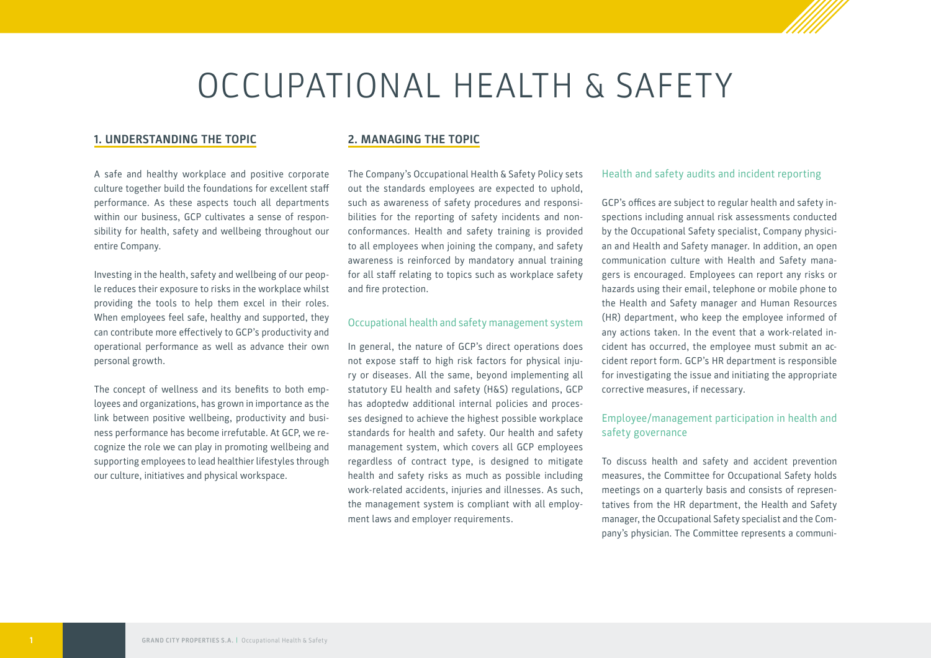# OCCUPATIONAL HEALTH & SAFETY

#### **1. UNDERSTANDING THE TOPIC**

A safe and healthy workplace and positive corporate culture together build the foundations for excellent staff performance. As these aspects touch all departments within our business, GCP cultivates a sense of responsibility for health, safety and wellbeing throughout our entire Company.

Investing in the health, safety and wellbeing of our people reduces their exposure to risks in the workplace whilst providing the tools to help them excel in their roles. When employees feel safe, healthy and supported, they can contribute more effectively to GCP's productivity and operational performance as well as advance their own personal growth.

The concept of wellness and its benefits to both employees and organizations, has grown in importance as the link between positive wellbeing, productivity and business performance has become irrefutable. At GCP, we recognize the role we can play in promoting wellbeing and supporting employees to lead healthier lifestyles through our culture, initiatives and physical workspace.

#### **2. MANAGING THE TOPIC**

The Company's Occupational Health & Safety Policy sets out the standards employees are expected to uphold, such as awareness of safety procedures and responsibilities for the reporting of safety incidents and nonconformances. Health and safety training is provided to all employees when joining the company, and safety awareness is reinforced by mandatory annual training for all staff relating to topics such as workplace safety and fire protection.

#### Occupational health and safety management system

In general, the nature of GCP's direct operations does not expose staff to high risk factors for physical injury or diseases. All the same, beyond implementing all statutory EU health and safety (H&S) regulations, GCP has adoptedw additional internal policies and processes designed to achieve the highest possible workplace standards for health and safety. Our health and safety management system, which covers all GCP employees regardless of contract type, is designed to mitigate health and safety risks as much as possible including work-related accidents, injuries and illnesses. As such, the management system is compliant with all employment laws and employer requirements.

#### Health and safety audits and incident reporting

GCP's offices are subject to regular health and safety inspections including annual risk assessments conducted by the Occupational Safety specialist, Company physician and Health and Safety manager. In addition, an open communication culture with Health and Safety managers is encouraged. Employees can report any risks or hazards using their email, telephone or mobile phone to the Health and Safety manager and Human Resources (HR) department, who keep the employee informed of any actions taken. In the event that a work-related incident has occurred, the employee must submit an accident report form. GCP's HR department is responsible for investigating the issue and initiating the appropriate corrective measures, if necessary.

### Employee/management participation in health and safety governance

To discuss health and safety and accident prevention measures, the Committee for Occupational Safety holds meetings on a quarterly basis and consists of representatives from the HR department, the Health and Safety manager, the Occupational Safety specialist and the Company's physician. The Committee represents a communi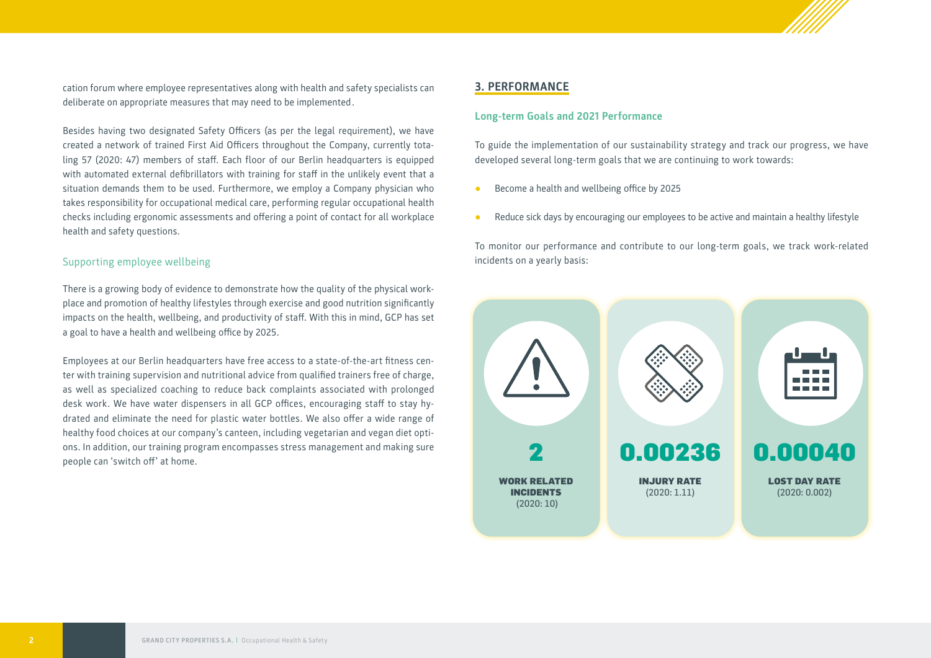cation forum where employee representatives along with health and safety specialists can deliberate on appropriate measures that may need to be implemented.

Besides having two designated Safety Officers (as per the legal requirement), we have created a network of trained First Aid Officers throughout the Company, currently totaling 57 (2020: 47) members of staff. Each floor of our Berlin headquarters is equipped with automated external defibrillators with training for staff in the unlikely event that a situation demands them to be used. Furthermore, we employ a Company physician who takes responsibility for occupational medical care, performing regular occupational health checks including ergonomic assessments and offering a point of contact for all workplace health and safety questions.

#### Supporting employee wellbeing

There is a growing body of evidence to demonstrate how the quality of the physical workplace and promotion of healthy lifestyles through exercise and good nutrition significantly impacts on the health, wellbeing, and productivity of staff. With this in mind, GCP has set a goal to have a health and wellbeing office by 2025.

Employees at our Berlin headquarters have free access to a state-of-the-art fitness center with training supervision and nutritional advice from qualified trainers free of charge, as well as specialized coaching to reduce back complaints associated with prolonged desk work. We have water dispensers in all GCP offices, encouraging staff to stay hydrated and eliminate the need for plastic water bottles. We also offer a wide range of healthy food choices at our company's canteen, including vegetarian and vegan diet options. In addition, our training program encompasses stress management and making sure people can 'switch off' at home.

#### **3. PERFORMANCE**

#### **Long-term Goals and 2021 Performance**

To guide the implementation of our sustainability strategy and track our progress, we have developed several long-term goals that we are continuing to work towards:

- **●** Become a health and wellbeing office by 2025
- **●** Reduce sick days by encouraging our employees to be active and maintain a healthy lifestyle

To monitor our performance and contribute to our long-term goals, we track work-related incidents on a yearly basis:

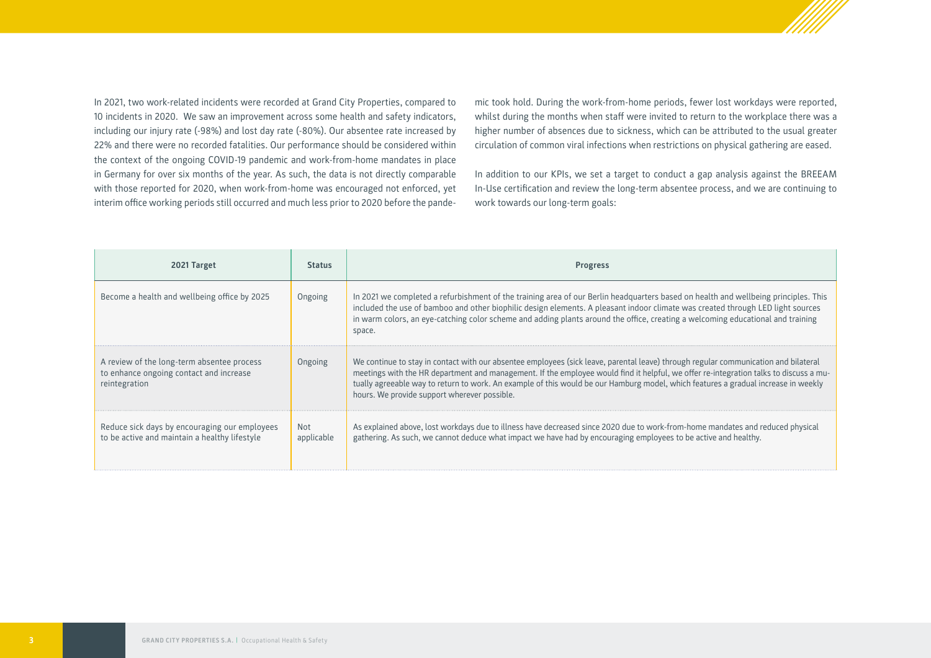

In 2021, two work-related incidents were recorded at Grand City Properties, compared to 10 incidents in 2020. We saw an improvement across some health and safety indicators, including our injury rate (-98%) and lost day rate (-80%). Our absentee rate increased by 22% and there were no recorded fatalities. Our performance should be considered within the context of the ongoing COVID-19 pandemic and work-from-home mandates in place in Germany for over six months of the year. As such, the data is not directly comparable with those reported for 2020, when work-from-home was encouraged not enforced, yet interim office working periods still occurred and much less prior to 2020 before the pandemic took hold. During the work-from-home periods, fewer lost workdays were reported, whilst during the months when staff were invited to return to the workplace there was a higher number of absences due to sickness, which can be attributed to the usual greater circulation of common viral infections when restrictions on physical gathering are eased.

In addition to our KPIs, we set a target to conduct a gap analysis against the BREEAM In-Use certification and review the long-term absentee process, and we are continuing to work towards our long-term goals:

| 2021 Target                                                                                            | <b>Status</b>            | <b>Progress</b>                                                                                                                                                                                                                                                                                                                                                                                                                                                    |
|--------------------------------------------------------------------------------------------------------|--------------------------|--------------------------------------------------------------------------------------------------------------------------------------------------------------------------------------------------------------------------------------------------------------------------------------------------------------------------------------------------------------------------------------------------------------------------------------------------------------------|
| Become a health and wellbeing office by 2025                                                           | Ongoing                  | In 2021 we completed a refurbishment of the training area of our Berlin headquarters based on health and wellbeing principles. This<br>included the use of bamboo and other biophilic design elements. A pleasant indoor climate was created through LED light sources<br>in warm colors, an eye-catching color scheme and adding plants around the office, creating a welcoming educational and training<br>space.                                                |
| A review of the long-term absentee process<br>to enhance ongoing contact and increase<br>reintegration | Ongoing                  | We continue to stay in contact with our absentee employees (sick leave, parental leave) through regular communication and bilateral<br>meetings with the HR department and management. If the employee would find it helpful, we offer re-integration talks to discuss a mu-<br>tually agreeable way to return to work. An example of this would be our Hamburg model, which features a gradual increase in weekly<br>hours. We provide support wherever possible. |
| Reduce sick days by encouraging our employees<br>to be active and maintain a healthy lifestyle         | <b>Not</b><br>applicable | As explained above, lost workdays due to illness have decreased since 2020 due to work-from-home mandates and reduced physical<br>gathering. As such, we cannot deduce what impact we have had by encouraging employees to be active and healthy.                                                                                                                                                                                                                  |